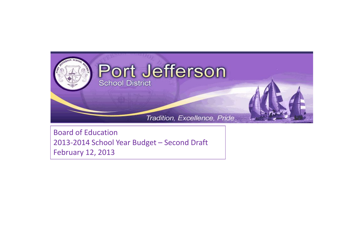

Board of Education 2013-2014 School Year Budget – Second Draft February 12, 2013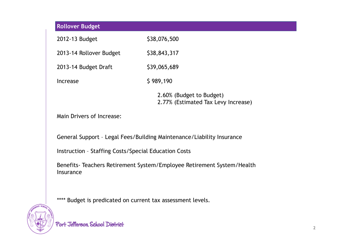| <b>Rollover Budget</b>                                                             |                                                                 |  |  |  |  |  |
|------------------------------------------------------------------------------------|-----------------------------------------------------------------|--|--|--|--|--|
| 2012-13 Budget                                                                     | \$38,076,500                                                    |  |  |  |  |  |
| 2013-14 Rollover Budget                                                            | \$38,843,317                                                    |  |  |  |  |  |
| 2013-14 Budget Draft                                                               | \$39,065,689                                                    |  |  |  |  |  |
| <b>Increase</b>                                                                    | \$989,190                                                       |  |  |  |  |  |
|                                                                                    | 2.60% (Budget to Budget)<br>2.77% (Estimated Tax Levy Increase) |  |  |  |  |  |
| Main Drivers of Increase:                                                          |                                                                 |  |  |  |  |  |
| General Support - Legal Fees/Building Maintenance/Liability Insurance              |                                                                 |  |  |  |  |  |
| <b>Instruction - Staffing Costs/Special Education Costs</b>                        |                                                                 |  |  |  |  |  |
| Benefits-Teachers Retirement System/Employee Retirement System/Health<br>Insurance |                                                                 |  |  |  |  |  |

\*\*\*\* Budget is predicated on current tax assessment levels.



Port Jefferson School District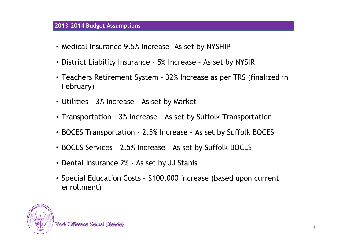## **2013-2014 Budget Assumptions**

- Medical Insurance 9.5% Increase– As set by NYSHIP
- District Liability Insurance 5% Increase As set by NYSIR
- Teachers Retirement System 32% Increase as per TRS (finalized in February)
- Utilities 3% Increase As set by Market
- Transportation 3% Increase As set by Suffolk Transportation
- BOCES Transportation 2.5% Increase As set by Suffolk BOCES
- BOCES Services 2.5% Increase As set by Suffolk BOCES
- Dental Insurance 2% As set by JJ Stanis
- Special Education Costs \$100,000 increase (based upon current enrollment)

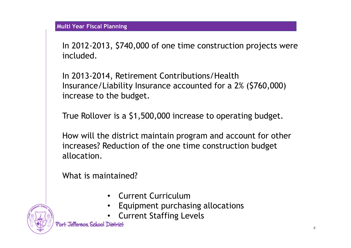In 2012-2013, \$740,000 of one time construction projects were included.

In 2013-2014, Retirement Contributions/Health Insurance/Liability Insurance accounted for a 2% (\$760,000) increase to the budget.

True Rollover is a \$1,500,000 increase to operating budget.

How will the district maintain program and account for other increases? Reduction of the one time construction budget allocation.

What is maintained?

- Current Curriculum
- Equipment purchasing allocations
- Current Staffing Levels

Port Jefferson, School District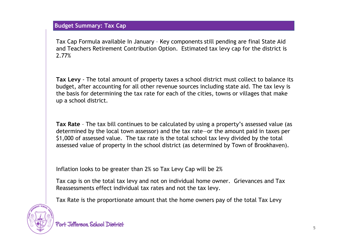Tax Cap Formula available In January – Key components still pending are final State Aid and Teachers Retirement Contribution Option. Estimated tax levy cap for the district is 2.77%

**Tax Levy** - The total amount of property taxes a school district must collect to balance its budget, after accounting for all other revenue sources including state aid. The tax levy is the basis for determining the tax rate for each of the cities, towns or villages that make up a school district.

**Tax Rate** – The tax bill continues to be calculated by using a property's assessed value (as determined by the local town assessor) and the tax rate—or the amount paid in taxes per \$1,000 of assessed value. The tax rate is the total school tax levy divided by the total assessed value of property in the school district (as determined by Town of Brookhaven).

Inflation looks to be greater than 2% so Tax Levy Cap will be 2%

Tax cap is on the total tax levy and not on individual home owner. Grievances and Tax Reassessments effect individual tax rates and not the tax levy.

Tax Rate is the proportionate amount that the home owners pay of the total Tax Levy

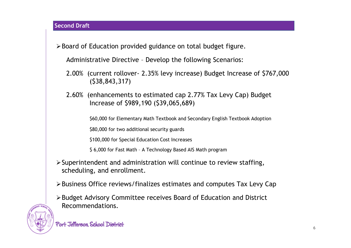≻ Board of Education provided guidance on total budget figure.

Administrative Directive – Develop the following Scenarios:

- 2.00% (current rollover- 2.35% levy increase) Budget Increase of \$767,000 (\$38,843,317)
- 2.60% (enhancements to estimated cap 2.77% Tax Levy Cap) Budget Increase of \$989,190 (\$39,065,689)

\$60,000 for Elementary Math Textbook and Secondary English Textbook Adoption

\$80,000 for two additional security guards

\$100,000 for Special Education Cost Increases

\$ 6,000 for Fast Math – A Technology Based AIS Math program

- $\triangleright$  Superintendent and administration will continue to review staffing, scheduling, and enrollment.
- Business Office reviews/finalizes estimates and computes Tax Levy Cap
- Budget Advisory Committee receives Board of Education and District Recommendations.

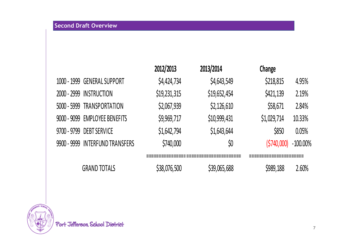|                                 | 2012/2013    | 2013/2014    | Change      |             |
|---------------------------------|--------------|--------------|-------------|-------------|
| 1000 - 1999 GENERAL SUPPORT     | \$4,424,734  | \$4,643,549  | \$218,815   | 4.95%       |
| 2000 - 2999 INSTRUCTION         | \$19,231,315 | \$19,652,454 | \$421,139   | 2.19%       |
| 5000 - 5999 TRANSPORTATION      | \$2,067,939  | \$2,126,610  | \$58,671    | 2.84%       |
| 9000 - 9099 EMPLOYEE BENEFITS   | \$9,969,717  | \$10,999,431 | \$1,029,714 | 10.33%      |
| 9700 - 9799 DEBT SERVICE        | \$1,642,794  | \$1,643,644  | \$850       | 0.05%       |
| 9900 - 9999 INTERFUND TRANSFERS | \$740,000    | \$0          | (5740,000)  | $-100.00\%$ |
|                                 |              |              |             |             |
| <b>GRAND TOTALS</b>             | \$38,076,500 | \$39,065,688 | \$989,188   | 2.60%       |

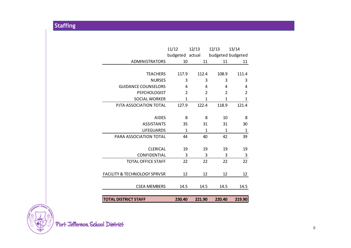| <b>TOTAL DISTRICT STAFF</b>                    | 230.40                | 221.90       | 220.40            | 219.90                |
|------------------------------------------------|-----------------------|--------------|-------------------|-----------------------|
|                                                |                       |              |                   |                       |
| <b>CSEA MEMBERS</b>                            | 14.5                  | 14.5         | 14.5              | 14.5                  |
| <b>FACILITY &amp; TECHNOLOGY SPRVSR</b>        | 12                    | 12           | 12                | 12                    |
|                                                |                       |              |                   |                       |
| <b>TOTAL OFFICE STAFF</b>                      | 22                    | 22           | 22                | 22                    |
| CONFIDENTIAL                                   | 3                     | 3            | 3                 | 3                     |
| <b>CLERICAL</b>                                | 19                    | 19           | 19                | 19                    |
| PARA ASSOCIATION TOTAL                         | 44                    | 40           | 42                | 39                    |
| <b>LIFEGUARDS</b>                              | 1                     | $\mathbf{1}$ | 1                 | $\mathbf{1}$          |
| <b>ASSISTANTS</b>                              | 35                    | 31           | 31                | 30                    |
| <b>AIDES</b>                                   | 8                     | 8            | 10                | 8                     |
|                                                |                       |              |                   |                       |
| <b>SOCIAL WORKER</b><br>PJTA ASSOCIATION TOTAL | $\mathbf{1}$<br>127.9 | 1<br>122.4   | 1<br>118.9        | $\mathbf{1}$<br>121.4 |
| <b>PSYCHOLOGIST</b>                            | 2                     | 2            | 2                 | 2                     |
| <b>GUIDANCE COUNSELORS</b>                     | 4                     | 4            | 4                 | 4                     |
| <b>NURSES</b>                                  | 3                     | 3            | 3                 | 3                     |
| <b>TEACHERS</b>                                | 117.9                 | 112.4        | 108.9             | 111.4                 |
|                                                |                       |              |                   |                       |
| <b>ADMINISTRATORS</b>                          | 10                    | 11           | 11                | 11                    |
|                                                | budgeted actual       |              | budgeted budgeted |                       |
|                                                | 11/12                 | 12/13        | 12/13             | 13/14                 |

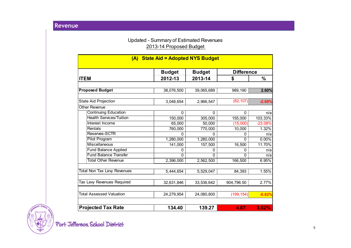## Updated - Summary of Estimated Revenues 2013-14 Proposed Budget

| (A) State Aid = Adopted NYS Budget |               |               |            |                   |  |  |
|------------------------------------|---------------|---------------|------------|-------------------|--|--|
|                                    | <b>Budget</b> | <b>Budget</b> |            | <b>Difference</b> |  |  |
| <b>ITEM</b>                        | 2012-13       | 2013-14       | \$         | $\%$              |  |  |
|                                    |               |               |            |                   |  |  |
| <b>Proposed Budget</b>             | 38,076,500    | 39,065,689    | 989,190    | 2.60%             |  |  |
| <b>State Aid Projection</b>        | 3,048,654     | 2,966,547     | (82, 107)  | $-2.69%$          |  |  |
| <b>Other Revenue</b>               |               |               |            |                   |  |  |
| <b>Continuing Education</b>        | $\mathbf 0$   | $\mathbf 0$   | 0          | n/a               |  |  |
| <b>Health Services/Tuition</b>     | 150,000       | 305,000       | 155,000    | 103.33%           |  |  |
| Interest Income                    | 65,000        | 50,000        | (15,000)   | $-23.08%$         |  |  |
| Rentals                            | 760,000       | 770,000       | 10,000     | 1.32%             |  |  |
| Reserves-SCTR                      | 0             | 0             | 0          | n/a               |  |  |
| <b>Pilot Program</b>               | 1,280,000     | 1,280,000     | $\Omega$   | 0.00%             |  |  |
| <b>Miscellaneous</b>               | 141,000       | 157,500       | 16,500     | 11.70%            |  |  |
| <b>Fund Balance Applied</b>        | 0             | 0             | 0          | n/a               |  |  |
| <b>Fund Balance Transfer</b>       | ი             | 0             | 0          | n/a               |  |  |
| <b>Total Other Revenue</b>         | 2,396,000     | 2,562,500     | 166,500    | 6.95%             |  |  |
| <b>Total Non Tax Levy Revenues</b> | 5,444,654     | 5,529,047     | 84,393     | 1.55%             |  |  |
|                                    |               |               |            |                   |  |  |
| Tax Levy Revenues Required         | 32,631,846    | 33,536,642    | 904,796.50 | 2.77%             |  |  |
| <b>Total Assessed Valuation</b>    |               |               |            |                   |  |  |
|                                    | 24,279,954    | 24,080,800    | (199, 154) | $-0.82%$          |  |  |
| <b>Projected Tax Rate</b>          | 134.40        | 139.27        | 4.87       | 3.62%             |  |  |

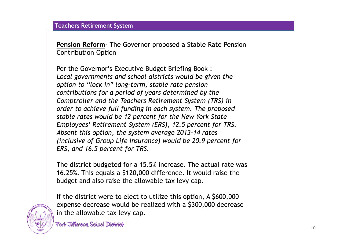**Pension Reform**- The Governor proposed a Stable Rate Pension Contribution Option

Per the Governor's Executive Budget Briefing Book : *Local governments and school districts would be given the option to "lock in" long-term, stable rate pension contributions for a period of years determined by the Comptroller and the Teachers Retirement System (TRS) in order to achieve full funding in each system. The proposed stable rates would be 12 percent for the New York State Employees' Retirement System (ERS), 12.5 percent for TRS. Absent this option, the system average 2013-14 rates (inclusive of Group Life Insurance) would be 20.9 percent for ERS, and 16.5 percent for TRS.*

The district budgeted for a 15.5% increase. The actual rate was 16.25%. This equals a \$120,000 difference. It would raise the budget and also raise the allowable tax levy cap.



If the district were to elect to utilize this option, A \$600,000 expense decrease would be realized with a \$300,000 decrease in the allowable tax levy cap.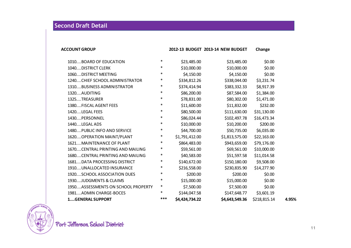# **Second Draft Detail**

| <b>ACCOUNT GROUP</b> | 2012-13 BUDGET 2013-14 NEW BUDGET | Change |
|----------------------|-----------------------------------|--------|
|                      |                                   |        |

| 1010BOARD OF EDUCATION             | $\ast$ | \$23,485.00    | \$23,485.00    | \$0.00       |       |
|------------------------------------|--------|----------------|----------------|--------------|-------|
| 1040DISTRICT CLERK                 | $\ast$ | \$10,000.00    | \$10,000.00    | \$0.00       |       |
| 1060DISTRICT MEETING               | $\ast$ | \$4,150.00     | \$4,150.00     | \$0.00       |       |
| 1240CHIEF SCHOOL ADMINISTRATOR     | $\ast$ | \$334,812.26   | \$338,044.00   | \$3,231.74   |       |
| 1310BUSINESS ADMINISTRATOR         | $\ast$ | \$374,414.94   | \$383,332.33   | \$8,917.39   |       |
| 1320AUDITING                       | $\ast$ | \$86,200.00    | \$87,584.00    | \$1,384.00   |       |
| 1325TREASURER                      | $\ast$ | \$78,831.00    | \$80,302.00    | \$1,471.00   |       |
| 1380FISCAL AGENT FEES              | $\ast$ | \$11,600.00    | \$11,832.00    | \$232.00     |       |
| 1420LEGAL FEES                     | $\ast$ | \$80,500.00    | \$111,630.00   | \$31,130.00  |       |
| 1430PERSONNEL                      | $\ast$ | \$86,024.44    | \$102,497.78   | \$16,473.34  |       |
| 1440LEGAL ADS                      | $\ast$ | \$10,000.00    | \$10,200.00    | \$200.00     |       |
| 1480PUBLIC INFO AND SERVICE        | $\ast$ | \$44,700.00    | \$50,735.00    | \$6,035.00   |       |
| 1620 OPERATION MAINT/PLANT         | $\ast$ | \$1,791,412.00 | \$1,813,575.00 | \$22,163.00  |       |
| 1621MAINTENANCE OF PLANT           | $\ast$ | \$864,483.00   | \$943,659.00   | \$79,176.00  |       |
| 1670CENTRAL PRINTING AND MAILING   | $\ast$ | \$59,561.00    | \$69,561.00    | \$10,000.00  |       |
| 1680CENTRAL PRINTING AND MAILING   | $\ast$ | \$40,583.00    | \$51,597.58    | \$11,014.58  |       |
| 1681DATA PROCESSING DISTRICT       | $\ast$ | \$140,672.00   | \$150,180.00   | \$9,508.00   |       |
| 1910UNALLOCATED INSURANCE          | $\ast$ | \$216,558.00   | \$230,835.90   | \$14,277.90  |       |
| 1920SCHOOL ASSOCIATION DUES        | $\ast$ | \$200.00       | \$200.00       | \$0.00       |       |
| 1930JUDGMENTS & CLAIMS             | $\ast$ | \$15,000.00    | \$15,000.00    | \$0.00       |       |
| 1950ASSESSMENTS ON SCHOOL PROPERTY | $\ast$ | \$7,500.00     | \$7,500.00     | \$0.00       |       |
| 1981ADMIN CHARGE-BOCES             | $\ast$ | \$144,047.58   | \$147,648.77   | \$3,601.19   |       |
| 1GENERAL SUPPORT                   | $***$  | \$4,424,734.22 | \$4,643,549.36 | \$218,815.14 | 4.95% |

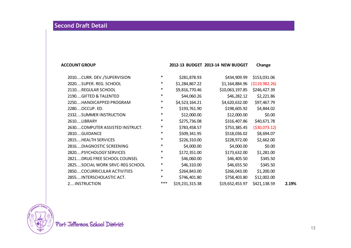### **ACCOUNT GROUP 2012-13 BUDGET 2013-14 NEW BUDGET Change**

| 2010CURR. DEV./SUPERVISION      | $\ast$ | \$281,878.93    | \$434,909.99    | \$153,031.06     |       |
|---------------------------------|--------|-----------------|-----------------|------------------|-------|
| 2020SUPER. REG. SCHOOL          | $\ast$ | \$1,284,867.22  | \$1,164,884.96  | ( \$119, 982.26) |       |
| 2110REGULAR SCHOOL              | $\ast$ | \$9,816,770.46  | \$10,063,197.85 | \$246,427.39     |       |
| 2190GIFTED & TALENTED           | $\ast$ | \$44,060.26     | \$46,282.12     | \$2,221.86       |       |
| 2250HANDICAPPED PROGRAM         | $\ast$ | \$4,523,164.21  | \$4,620,632.00  | \$97,467.79      |       |
| 2280OCCUP. ED.                  | *      | \$193,761.90    | \$198,605.92    | \$4,844.02       |       |
| 2332SUMMER INSTRUCTION          | $\ast$ | \$12,000.00     | \$12,000.00     | \$0.00           |       |
| 2610LIBRARY                     | $\ast$ | \$275,736.08    | \$316,407.86    | \$40,671.78      |       |
| 2630COMPUTER ASSISTED INSTRUCT. | $\ast$ | \$783,458.57    | \$753,385.45    | ( \$30,073.12)   |       |
| 2810GUIDANCE                    | $\ast$ | \$509,341.95    | \$518,036.02    | \$8,694.07       |       |
| 2815HEALTH SERVICES             | *      | \$226,310.00    | \$228,972.00    | \$2,662.00       |       |
| 2816DIAGNOSTIC SCREENING        | $\ast$ | \$4,000.00      | \$4,000.00      | \$0.00           |       |
| 2820PSYCHOLOGY SERVICES         | $\ast$ | \$172,351.00    | \$173,632.00    | \$1,281.00       |       |
| 2821DRUG FREE SCHOOL COUNSEL    | $\ast$ | \$46,060.00     | \$46,405.50     | \$345.50         |       |
| 2825SOCIAL WORK SRVC-REG SCHOOL | $\ast$ | \$46,310.00     | \$46,655.50     | \$345.50         |       |
| 2850COCURRICULAR ACTIVITIES     | $\ast$ | \$264,843.00    | \$266,043.00    | \$1,200.00       |       |
| 2855INTERSCHOLASTIC ACT.        | $\ast$ | \$746,401.80    | \$758,403.80    | \$12,002.00      |       |
| 2INSTRUCTION                    | ***    | \$19,231,315.38 | \$19,652,453.97 | \$421,138.59     | 2.19% |

FRSON SCH